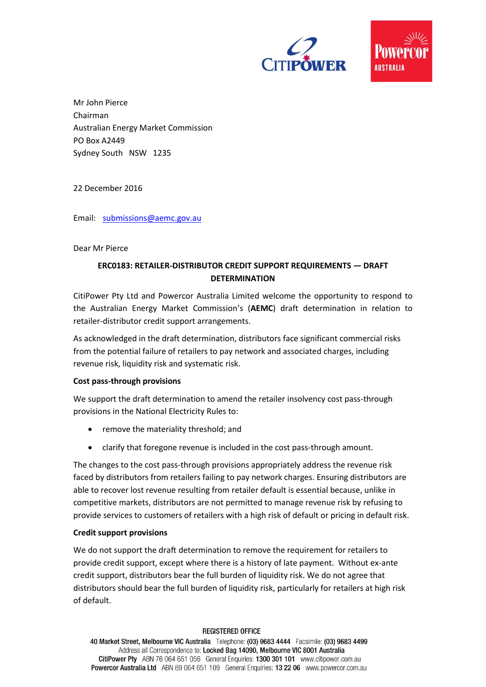



Mr John Pierce Chairman Australian Energy Market Commission PO Box A2449 Sydney South NSW 1235

22 December 2016

Email: [submissions@aemc.gov.au](mailto:submissions@aemc.gov.au)

## Dear Mr Pierce

# **ERC0183: RETAILER-DISTRIBUTOR CREDIT SUPPORT REQUIREMENTS — DRAFT DETERMINATION**

CitiPower Pty Ltd and Powercor Australia Limited welcome the opportunity to respond to the Australian Energy Market Commission's (**AEMC**) draft determination in relation to retailer-distributor credit support arrangements.

As acknowledged in the draft determination, distributors face significant commercial risks from the potential failure of retailers to pay network and associated charges, including revenue risk, liquidity risk and systematic risk.

## **Cost pass-through provisions**

We support the draft determination to amend the retailer insolvency cost pass-through provisions in the National Electricity Rules to:

- remove the materiality threshold; and
- clarify that foregone revenue is included in the cost pass-through amount.

The changes to the cost pass-through provisions appropriately address the revenue risk faced by distributors from retailers failing to pay network charges. Ensuring distributors are able to recover lost revenue resulting from retailer default is essential because, unlike in competitive markets, distributors are not permitted to manage revenue risk by refusing to provide services to customers of retailers with a high risk of default or pricing in default risk.

## **Credit support provisions**

We do not support the draft determination to remove the requirement for retailers to provide credit support, except where there is a history of late payment. Without ex-ante credit support, distributors bear the full burden of liquidity risk. We do not agree that distributors should bear the full burden of liquidity risk, particularly for retailers at high risk of default.

### **REGISTERED OFFICE**

40 Market Street, Melbourne VIC Australia Telephone: (03) 9683 4444 Facsimile: (03) 9683 4499 Address all Correspondence to: Locked Bag 14090, Melbourne VIC 8001 Australia CitiPower Pty ABN 76 064 651 056 General Enquiries: 1300 301 101 www.citipower.com.au Powercor Australia Ltd ABN 89 064 651 109 General Enquiries: 13 22 06 www.powercor.com.au